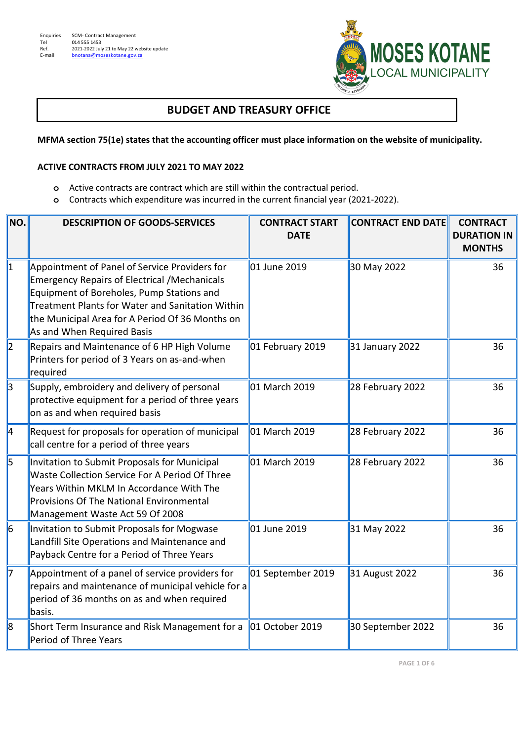**-** 



## **BUDGET AND TREASURY OFFICE**

**MFMA section 75(1e) states that the accounting officer must place information on the website of municipality.** 

## **ACTIVE CONTRACTS FROM JULY 2021 TO MAY 2022**

- **o** Active contracts are contract which are still within the contractual period.
- **o** Contracts which expenditure was incurred in the current financial year (2021-2022).

| NO.       | <b>DESCRIPTION OF GOODS-SERVICES</b>                                                                                                                                                                                                                                                   | <b>CONTRACT START</b><br><b>DATE</b> | <b>CONTRACT END DATE</b> | <b>CONTRACT</b><br><b>DURATION IN</b><br><b>MONTHS</b> |
|-----------|----------------------------------------------------------------------------------------------------------------------------------------------------------------------------------------------------------------------------------------------------------------------------------------|--------------------------------------|--------------------------|--------------------------------------------------------|
| 1         | Appointment of Panel of Service Providers for<br><b>Emergency Repairs of Electrical /Mechanicals</b><br>Equipment of Boreholes, Pump Stations and<br>Treatment Plants for Water and Sanitation Within<br>the Municipal Area for A Period Of 36 Months on<br>As and When Required Basis | 01 June 2019                         | 30 May 2022              | 36                                                     |
| $\vert$ 2 | Repairs and Maintenance of 6 HP High Volume<br>Printers for period of 3 Years on as-and-when<br>required                                                                                                                                                                               | 01 February 2019                     | 31 January 2022          | 36                                                     |
| 3         | Supply, embroidery and delivery of personal<br>protective equipment for a period of three years<br>on as and when required basis                                                                                                                                                       | 01 March 2019                        | 28 February 2022         | 36                                                     |
| ∥4        | Request for proposals for operation of municipal<br>call centre for a period of three years                                                                                                                                                                                            | 01 March 2019                        | 28 February 2022         | 36                                                     |
| 5         | Invitation to Submit Proposals for Municipal<br>Waste Collection Service For A Period Of Three<br>Years Within MKLM In Accordance With The<br>Provisions Of The National Environmental<br>Management Waste Act 59 Of 2008                                                              | 01 March 2019                        | 28 February 2022         | 36                                                     |
| 6         | Invitation to Submit Proposals for Mogwase<br>Landfill Site Operations and Maintenance and<br>Payback Centre for a Period of Three Years                                                                                                                                               | 01 June 2019                         | 31 May 2022              | 36                                                     |
| 17        | Appointment of a panel of service providers for<br>repairs and maintenance of municipal vehicle for a<br>period of 36 months on as and when required<br>basis.                                                                                                                         | 01 September 2019                    | 31 August 2022           | 36                                                     |
| 8         | Short Term Insurance and Risk Management for a<br>Period of Three Years                                                                                                                                                                                                                | 01 October 2019                      | 30 September 2022        | 36                                                     |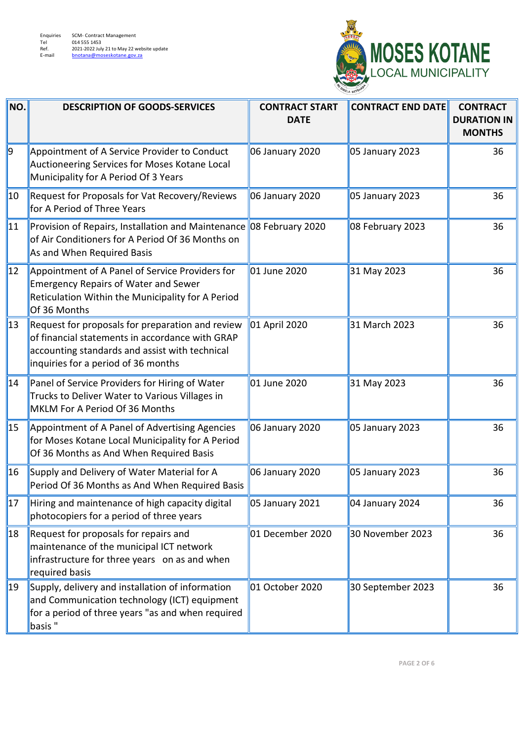

| NO.          | <b>DESCRIPTION OF GOODS-SERVICES</b>                                                                                                                                                         | <b>CONTRACT START</b><br><b>DATE</b> | <b>CONTRACT END DATE</b> | <b>CONTRACT</b><br><b>DURATION IN</b><br><b>MONTHS</b> |
|--------------|----------------------------------------------------------------------------------------------------------------------------------------------------------------------------------------------|--------------------------------------|--------------------------|--------------------------------------------------------|
| g            | Appointment of A Service Provider to Conduct<br>Auctioneering Services for Moses Kotane Local<br>Municipality for A Period Of 3 Years                                                        | 06 January 2020                      | 05 January 2023          | 36                                                     |
| $ 10\rangle$ | Request for Proposals for Vat Recovery/Reviews<br>for A Period of Three Years                                                                                                                | 06 January 2020                      | 05 January 2023          | 36                                                     |
| 11           | Provision of Repairs, Installation and Maintenance 08 February 2020<br>of Air Conditioners for A Period Of 36 Months on<br>As and When Required Basis                                        |                                      | 08 February 2023         | 36                                                     |
| 12           | Appointment of A Panel of Service Providers for<br><b>Emergency Repairs of Water and Sewer</b><br>Reticulation Within the Municipality for A Period<br>Of 36 Months                          | 01 June 2020                         | 31 May 2023              | 36                                                     |
| 13           | Request for proposals for preparation and review<br>of financial statements in accordance with GRAP<br>accounting standards and assist with technical<br>inquiries for a period of 36 months | 01 April 2020                        | 31 March 2023            | 36                                                     |
| 14           | Panel of Service Providers for Hiring of Water<br>Trucks to Deliver Water to Various Villages in<br>MKLM For A Period Of 36 Months                                                           | 01 June 2020                         | 31 May 2023              | 36                                                     |
| 15           | Appointment of A Panel of Advertising Agencies<br>for Moses Kotane Local Municipality for A Period<br>Of 36 Months as And When Required Basis                                                | 06 January 2020                      | 05 January 2023          | 36                                                     |
| 16           | Supply and Delivery of Water Material for A<br>Period Of 36 Months as And When Required Basis                                                                                                | 06 January 2020                      | 05 January 2023          | 36                                                     |
| 17           | Hiring and maintenance of high capacity digital<br>photocopiers for a period of three years                                                                                                  | 05 January 2021                      | 04 January 2024          | 36                                                     |
| 18           | Request for proposals for repairs and<br>maintenance of the municipal ICT network<br>infrastructure for three years on as and when<br>required basis                                         | 01 December 2020                     | 30 November 2023         | 36                                                     |
| 19           | Supply, delivery and installation of information<br>and Communication technology (ICT) equipment<br>for a period of three years "as and when required<br>basis"                              | 01 October 2020                      | 30 September 2023        | 36                                                     |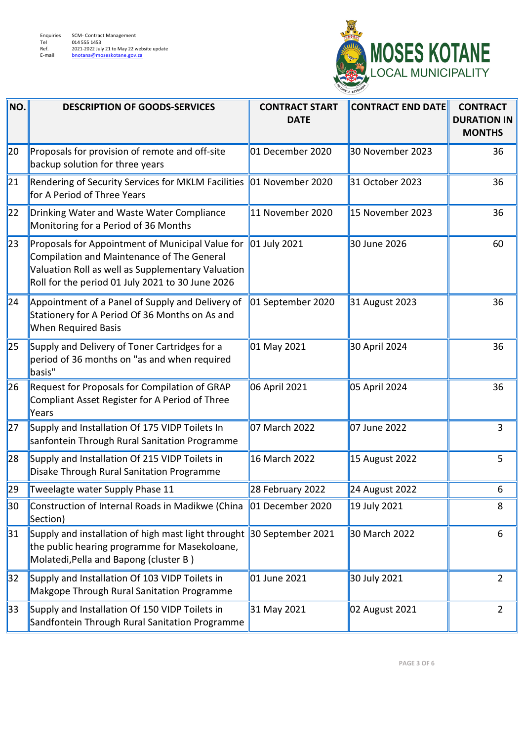

| NO. | <b>DESCRIPTION OF GOODS-SERVICES</b>                                                                                                                                                                    | <b>CONTRACT START</b><br><b>DATE</b> | <b>CONTRACT END DATE</b> | <b>CONTRACT</b><br><b>DURATION IN</b><br><b>MONTHS</b> |
|-----|---------------------------------------------------------------------------------------------------------------------------------------------------------------------------------------------------------|--------------------------------------|--------------------------|--------------------------------------------------------|
| 20  | Proposals for provision of remote and off-site<br>backup solution for three years                                                                                                                       | 01 December 2020                     | 30 November 2023         | 36                                                     |
| 21  | Rendering of Security Services for MKLM Facilities   01 November 2020<br>for A Period of Three Years                                                                                                    |                                      | 31 October 2023          | 36                                                     |
| 22  | Drinking Water and Waste Water Compliance<br>Monitoring for a Period of 36 Months                                                                                                                       | 11 November 2020                     | 15 November 2023         | 36                                                     |
| 23  | Proposals for Appointment of Municipal Value for<br>Compilation and Maintenance of The General<br>Valuation Roll as well as Supplementary Valuation<br>Roll for the period 01 July 2021 to 30 June 2026 | 01 July 2021                         | 30 June 2026             | 60                                                     |
| 24  | Appointment of a Panel of Supply and Delivery of<br>Stationery for A Period Of 36 Months on As and<br>When Required Basis                                                                               | 01 September 2020                    | 31 August 2023           | 36                                                     |
| 25  | Supply and Delivery of Toner Cartridges for a<br>period of 36 months on "as and when required<br>basis"                                                                                                 | 01 May 2021                          | 30 April 2024            | 36                                                     |
| 26  | Request for Proposals for Compilation of GRAP<br>Compliant Asset Register for A Period of Three<br>Years                                                                                                | 06 April 2021                        | 05 April 2024            | 36                                                     |
| 27  | Supply and Installation Of 175 VIDP Toilets In<br>sanfontein Through Rural Sanitation Programme                                                                                                         | 07 March 2022                        | 07 June 2022             | 3                                                      |
| 28  | Supply and Installation Of 215 VIDP Toilets in<br>Disake Through Rural Sanitation Programme                                                                                                             | 16 March 2022                        | 15 August 2022           | 5                                                      |
| 29  | Tweelagte water Supply Phase 11                                                                                                                                                                         | 28 February 2022                     | 24 August 2022           | 6                                                      |
| 30  | Construction of Internal Roads in Madikwe (China<br>Section)                                                                                                                                            | 01 December 2020                     | 19 July 2021             | 8                                                      |
| 31  | Supply and installation of high mast light throught 30 September 2021<br>the public hearing programme for Masekoloane,<br>Molatedi, Pella and Bapong (cluster B)                                        |                                      | 30 March 2022            | 6                                                      |
| 32  | Supply and Installation Of 103 VIDP Toilets in<br>Makgope Through Rural Sanitation Programme                                                                                                            | 01 June 2021                         | 30 July 2021             | $\overline{2}$                                         |
| 33  | Supply and Installation Of 150 VIDP Toilets in<br>Sandfontein Through Rural Sanitation Programme                                                                                                        | 31 May 2021                          | 02 August 2021           | $\overline{2}$                                         |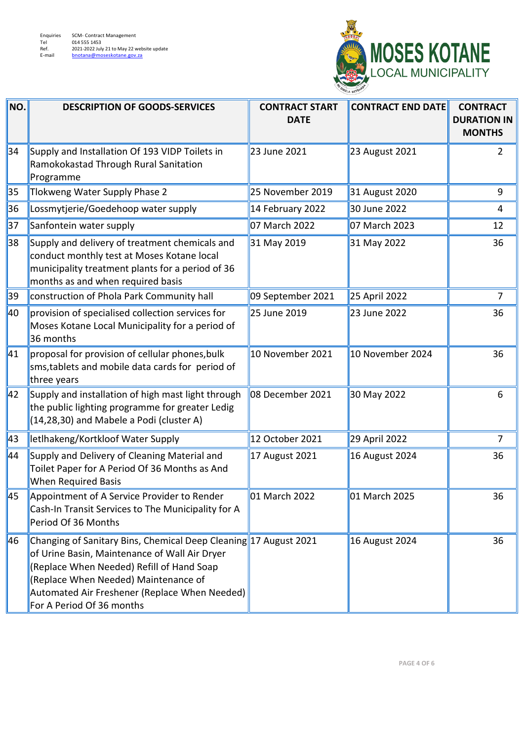

| NO. | <b>DESCRIPTION OF GOODS-SERVICES</b>                                                                                                                                                                                                                                                 | <b>CONTRACT START</b><br><b>DATE</b> | <b>CONTRACT END DATE</b> | <b>CONTRACT</b><br><b>DURATION IN</b><br><b>MONTHS</b> |
|-----|--------------------------------------------------------------------------------------------------------------------------------------------------------------------------------------------------------------------------------------------------------------------------------------|--------------------------------------|--------------------------|--------------------------------------------------------|
| 34  | Supply and Installation Of 193 VIDP Toilets in<br>Ramokokastad Through Rural Sanitation<br>Programme                                                                                                                                                                                 | 23 June 2021                         | 23 August 2021           | 2                                                      |
| 35  | Tlokweng Water Supply Phase 2                                                                                                                                                                                                                                                        | 25 November 2019                     | 31 August 2020           | 9                                                      |
| 36  | Lossmytjerie/Goedehoop water supply                                                                                                                                                                                                                                                  | 14 February 2022                     | 30 June 2022             | $\overline{4}$                                         |
| 37  | Sanfontein water supply                                                                                                                                                                                                                                                              | 07 March 2022                        | 07 March 2023            | 12                                                     |
| 38  | Supply and delivery of treatment chemicals and<br>conduct monthly test at Moses Kotane local<br>municipality treatment plants for a period of 36<br>months as and when required basis                                                                                                | 31 May 2019                          | 31 May 2022              | 36                                                     |
| 39  | construction of Phola Park Community hall                                                                                                                                                                                                                                            | 09 September 2021                    | 25 April 2022            | 7                                                      |
| 40  | provision of specialised collection services for<br>Moses Kotane Local Municipality for a period of<br>36 months                                                                                                                                                                     | 25 June 2019                         | 23 June 2022             | 36                                                     |
| 41  | proposal for provision of cellular phones, bulk<br>sms, tablets and mobile data cards for period of<br>three years                                                                                                                                                                   | 10 November 2021                     | 10 November 2024         | 36                                                     |
| 42  | Supply and installation of high mast light through<br>the public lighting programme for greater Ledig<br>(14,28,30) and Mabele a Podi (cluster A)                                                                                                                                    | 08 December 2021                     | 30 May 2022              | 6                                                      |
| 43  | letlhakeng/Kortkloof Water Supply                                                                                                                                                                                                                                                    | 12 October 2021                      | 29 April 2022            | 7                                                      |
| 44  | Supply and Delivery of Cleaning Material and<br>Toilet Paper for A Period Of 36 Months as And<br>When Required Basis                                                                                                                                                                 | 17 August 2021                       | 16 August 2024           | 36                                                     |
| 45  | Appointment of A Service Provider to Render<br>Cash-In Transit Services to The Municipality for A<br>Period Of 36 Months                                                                                                                                                             | 01 March 2022                        | 01 March 2025            | 36                                                     |
| 46  | Changing of Sanitary Bins, Chemical Deep Cleaning 17 August 2021<br>of Urine Basin, Maintenance of Wall Air Dryer<br>(Replace When Needed) Refill of Hand Soap<br>(Replace When Needed) Maintenance of<br>Automated Air Freshener (Replace When Needed)<br>For A Period Of 36 months |                                      | 16 August 2024           | 36                                                     |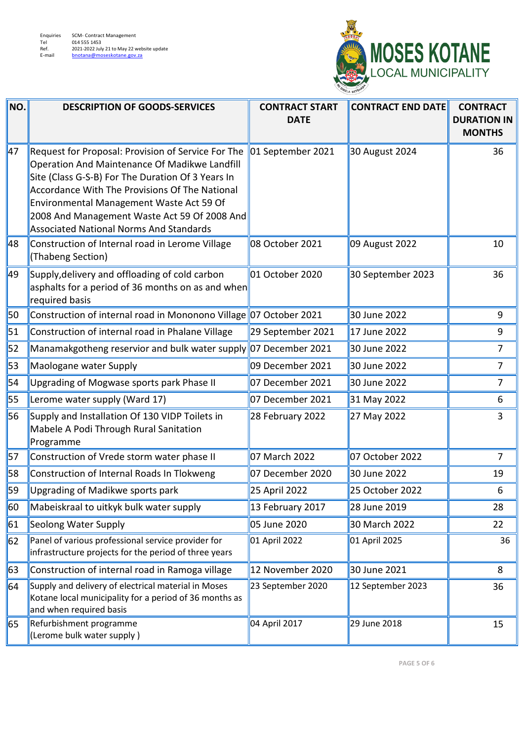

| NO. | <b>DESCRIPTION OF GOODS-SERVICES</b>                                                                                                                                                                                                                                                                                                                     | <b>CONTRACT START</b><br><b>DATE</b> | <b>CONTRACT END DATE</b> | <b>CONTRACT</b><br><b>DURATION IN</b><br><b>MONTHS</b> |
|-----|----------------------------------------------------------------------------------------------------------------------------------------------------------------------------------------------------------------------------------------------------------------------------------------------------------------------------------------------------------|--------------------------------------|--------------------------|--------------------------------------------------------|
| 47  | Request for Proposal: Provision of Service For The<br>Operation And Maintenance Of Madikwe Landfill<br>Site (Class G-S-B) For The Duration Of 3 Years In<br>Accordance With The Provisions Of The National<br>Environmental Management Waste Act 59 Of<br>2008 And Management Waste Act 59 Of 2008 And<br><b>Associated National Norms And Standards</b> | 01 September 2021                    | 30 August 2024           | 36                                                     |
| ∥48 | Construction of Internal road in Lerome Village<br>(Thabeng Section)                                                                                                                                                                                                                                                                                     | 08 October 2021                      | 09 August 2022           | 10                                                     |
| 49  | Supply, delivery and offloading of cold carbon<br>asphalts for a period of 36 months on as and when<br>required basis                                                                                                                                                                                                                                    | 01 October 2020                      | 30 September 2023        | 36                                                     |
| 50  | Construction of internal road in Mononono Village 07 October 2021                                                                                                                                                                                                                                                                                        |                                      | 30 June 2022             | 9                                                      |
| 51  | Construction of internal road in Phalane Village                                                                                                                                                                                                                                                                                                         | 29 September 2021                    | 17 June 2022             | 9                                                      |
| 52  | Manamakgotheng reservior and bulk water supply 07 December 2021                                                                                                                                                                                                                                                                                          |                                      | 30 June 2022             | $\overline{7}$                                         |
| 53  | Maologane water Supply                                                                                                                                                                                                                                                                                                                                   | 09 December 2021                     | 30 June 2022             | $\overline{7}$                                         |
| 54  | Upgrading of Mogwase sports park Phase II                                                                                                                                                                                                                                                                                                                | 07 December 2021                     | 30 June 2022             | $\overline{7}$                                         |
| 55  | Lerome water supply (Ward 17)                                                                                                                                                                                                                                                                                                                            | 07 December 2021                     | 31 May 2022              | 6                                                      |
| 56  | Supply and Installation Of 130 VIDP Toilets in<br>Mabele A Podi Through Rural Sanitation<br>Programme                                                                                                                                                                                                                                                    | 28 February 2022                     | 27 May 2022              | 3                                                      |
| 57  | Construction of Vrede storm water phase II                                                                                                                                                                                                                                                                                                               | 07 March 2022                        | 07 October 2022          | $\overline{7}$                                         |
| 58  | Construction of Internal Roads In Tlokweng                                                                                                                                                                                                                                                                                                               | 07 December 2020                     | 30 June 2022             | 19                                                     |
| 59  | Upgrading of Madikwe sports park                                                                                                                                                                                                                                                                                                                         | 25 April 2022                        | 25 October 2022          | 6                                                      |
| 60  | Mabeiskraal to uitkyk bulk water supply                                                                                                                                                                                                                                                                                                                  | 13 February 2017                     | 28 June 2019             | 28                                                     |
| 61  | Seolong Water Supply                                                                                                                                                                                                                                                                                                                                     | 05 June 2020                         | 30 March 2022            | 22                                                     |
| 62  | Panel of various professional service provider for<br>infrastructure projects for the period of three years                                                                                                                                                                                                                                              | 01 April 2022                        | 01 April 2025            | 36                                                     |
| 63  | Construction of internal road in Ramoga village                                                                                                                                                                                                                                                                                                          | 12 November 2020                     | 30 June 2021             | 8                                                      |
| 64  | Supply and delivery of electrical material in Moses<br>Kotane local municipality for a period of 36 months as<br>and when required basis                                                                                                                                                                                                                 | 23 September 2020                    | 12 September 2023        | 36                                                     |
| 65  | Refurbishment programme<br>(Lerome bulk water supply)                                                                                                                                                                                                                                                                                                    | 04 April 2017                        | 29 June 2018             | 15                                                     |